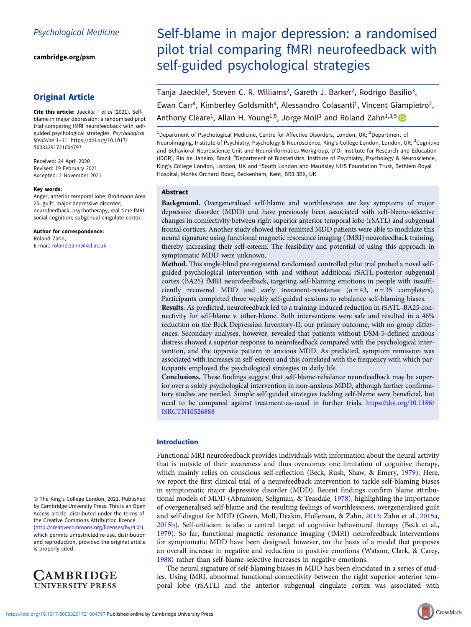[cambridge.org/psm](https://www.cambridge.org/psm)

# Original Article

Cite this article: Jaeckle T et al (2021). Selfblame in major depression: a randomised pilot trial comparing fMRI neurofeedback with selfguided psychological strategies. Psychological Medicine 1–11. [https://doi.org/10.1017/](https://doi.org/10.1017/S0033291721004797) [S0033291721004797](https://doi.org/10.1017/S0033291721004797)

Received: 24 April 2020 Revised: 19 February 2021 Accepted: 2 November 2021

#### Key words:

Anger; anterior temporal lobe; Brodmann Area 25; guilt; major depressive disorder; neurofeedback; psychotherapy; real-time fMRI; social cognition; subgenual cingulate cortex

Author for correspondence: Roland Zahn, E-mail: [roland.zahn@kcl.ac.uk](mailto:roland.zahn@kcl.ac.uk)

© The King's College London, 2021. Published by Cambridge University Press. This is an Open Access article, distributed under the terms of the Creative Commons Attribution licence ([http://creativecommons.org/licenses/by/4.0/\)](http://creativecommons.org/licenses/by/4.0/), which permits unrestricted re-use, distribution and reproduction, provided the original article is properly cited.



# Self-blame in major depression: a randomised pilot trial comparing fMRI neurofeedback with self-guided psychological strategies

Tanja Jaeckle<sup>1</sup>, Steven C. R. Williams<sup>2</sup>, Gareth J. Barker<sup>2</sup>, Rodrigo Basilio<sup>3</sup>, Ewan Carr<sup>4</sup>, Kimberley Goldsmith<sup>4</sup>, Alessandro Colasanti<sup>1</sup>, Vincent Giampietro<sup>2</sup>, Anthony Cleare<sup>1</sup>, Allan H. Young<sup>1,5</sup>, Jorge Moll<sup>3</sup> and Roland Zahn<sup>1,3,5</sup>

<sup>1</sup>Department of Psychological Medicine, Centre for Affective Disorders, London, UK; <sup>2</sup>Department of Neuroimaging, Institute of Psychiatry, Psychology & Neuroscience, King's College London, London, UK; <sup>3</sup>Cognitive and Behavioral Neuroscience Unit and Neuroinformatics Workgroup, D'Or Institute for Research and Education (IDOR), Rio de Janeiro, Brazil; <sup>4</sup>Department of Biostatistics, Institute of Psychiatry, Psychology & Neuroscience, King's College London, London, UK and <sup>5</sup>South London and Maudsley NHS Foundation Trust, Bethlem Royal Hospital, Monks Orchard Road, Beckenham, Kent, BR3 3BX, UK

# Abstract

Background. Overgeneralised self-blame and worthlessness are key symptoms of major depressive disorder (MDD) and have previously been associated with self-blame-selective changes in connectivity between right superior anterior temporal lobe (rSATL) and subgenual frontal cortices. Another study showed that remitted MDD patients were able to modulate this neural signature using functional magnetic resonance imaging (fMRI) neurofeedback training, thereby increasing their self-esteem. The feasibility and potential of using this approach in symptomatic MDD were unknown.

Method. This single-blind pre-registered randomised controlled pilot trial probed a novel selfguided psychological intervention with and without additional rSATL-posterior subgenual cortex (BA25) fMRI neurofeedback, targeting self-blaming emotions in people with insufficiently recovered MDD and early treatment-resistance  $(n = 43, n = 35$  completers). Participants completed three weekly self-guided sessions to rebalance self-blaming biases.

Results. As predicted, neurofeedback led to a training-induced reduction in rSATL-BA25 connectivity for self-blame v. other-blame. Both interventions were safe and resulted in a 46% reduction on the Beck Depression Inventory-II, our primary outcome, with no group differences. Secondary analyses, however, revealed that patients without DSM-5-defined anxious distress showed a superior response to neurofeedback compared with the psychological intervention, and the opposite pattern in anxious MDD. As predicted, symptom remission was associated with increases in self-esteem and this correlated with the frequency with which participants employed the psychological strategies in daily life.

Conclusions. These findings suggest that self-blame-rebalance neurofeedback may be superior over a solely psychological intervention in non-anxious MDD, although further confirmatory studies are needed. Simple self-guided strategies tackling self-blame were beneficial, but need to be compared against treatment-as-usual in further trials. [https://doi.org/10.1186/](https://doi.org/10.1186/ISRCTN10526888) [ISRCTN10526888](https://doi.org/10.1186/ISRCTN10526888)

# Introduction

Functional MRI neurofeedback provides individuals with information about the neural activity that is outside of their awareness and thus overcomes one limitation of cognitive therapy, which mainly relies on conscious self-reflection (Beck, Rush, Shaw, & Emery, [1979\)](#page-9-0). Here, we report the first clinical trial of a neurofeedback intervention to tackle self-blaming biases in symptomatic major depressive disorder (MDD). Recent findings confirm blame attributional models of MDD (Abramson, Seligman, & Teasdale, [1978\)](#page-9-0), highlighting the importance of overgeneralised self-blame and the resulting feelings of worthlessness, overgeneralised guilt and self-disgust for MDD (Green, Moll, Deakin, Hulleman, & Zahn, [2013;](#page-9-0) Zahn et al., [2015a](#page-10-0), [2015b](#page-10-0)). Self-criticism is also a central target of cognitive behavioural therapy (Beck et al., [1979\)](#page-9-0). So far, functional magnetic resonance imaging (fMRI) neurofeedback interventions for symptomatic MDD have been designed, however, on the basis of a model that proposes an overall increase in negative and reduction in positive emotions (Watson, Clark, & Carey, [1988\)](#page-10-0) rather than self-blame-selective increases in negative emotions.

The neural signature of self-blaming biases in MDD has been elucidated in a series of studies. Using fMRI, abnormal functional connectivity between the right superior anterior temporal lobe (rSATL) and the anterior subgenual cingulate cortex was associated with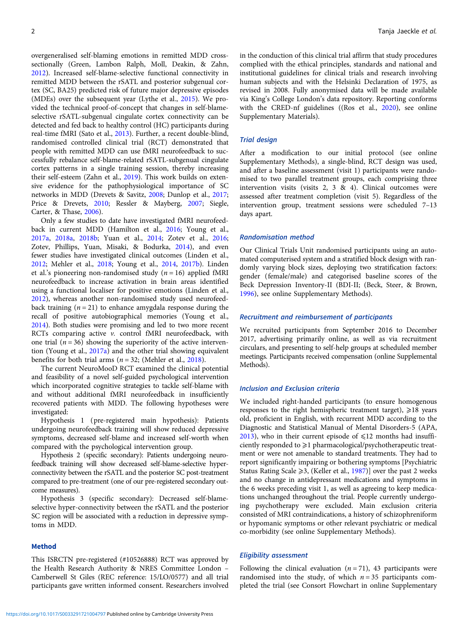overgeneralised self-blaming emotions in remitted MDD crosssectionally (Green, Lambon Ralph, Moll, Deakin, & Zahn, [2012\)](#page-9-0). Increased self-blame-selective functional connectivity in remitted MDD between the rSATL and posterior subgenual cortex (SC, BA25) predicted risk of future major depressive episodes (MDEs) over the subsequent year (Lythe et al., [2015](#page-9-0)). We provided the technical proof-of-concept that changes in self-blameselective rSATL-subgenual cingulate cortex connectivity can be detected and fed back to healthy control (HC) participants during real-time fMRI (Sato et al., [2013](#page-10-0)). Further, a recent double-blind, randomised controlled clinical trial (RCT) demonstrated that people with remitted MDD can use fMRI neurofeedback to successfully rebalance self-blame-related rSATL-subgenual cingulate cortex patterns in a single training session, thereby increasing their self-esteem (Zahn et al., [2019\)](#page-10-0). This work builds on extensive evidence for the pathophysiological importance of SC networks in MDD (Drevets & Savitz, [2008](#page-9-0); Dunlop et al., [2017](#page-9-0); Price & Drevets, [2010](#page-10-0); Ressler & Mayberg, [2007;](#page-10-0) Siegle, Carter, & Thase, [2006](#page-10-0)).

Only a few studies to date have investigated fMRI neurofeedback in current MDD (Hamilton et al., [2016](#page-9-0); Young et al., [2017a](#page-10-0), [2018a](#page-10-0), [2018b](#page-10-0); Yuan et al., [2014;](#page-10-0) Zotev et al., [2016](#page-10-0); Zotev, Phillips, Yuan, Misaki, & Bodurka, [2014](#page-10-0)), and even fewer studies have investigated clinical outcomes (Linden et al., [2012;](#page-9-0) Mehler et al., [2018](#page-9-0); Young et al., [2014,](#page-10-0) [2017b](#page-10-0)). Linden et al.'s pioneering non-randomised study ( $n = 16$ ) applied fMRI neurofeedback to increase activation in brain areas identified using a functional localiser for positive emotions (Linden et al., [2012\)](#page-9-0), whereas another non-randomised study used neurofeedback training  $(n = 21)$  to enhance amygdala response during the recall of positive autobiographical memories (Young et al., [2014\)](#page-10-0). Both studies were promising and led to two more recent RCTs comparing active v. control fMRI neurofeedback, with one trial ( $n = 36$ ) showing the superiority of the active intervention (Young et al., [2017a](#page-10-0)) and the other trial showing equivalent benefits for both trial arms ( $n = 32$ ; (Mehler et al., [2018](#page-9-0)).

The current NeuroMooD RCT examined the clinical potential and feasibility of a novel self-guided psychological intervention which incorporated cognitive strategies to tackle self-blame with and without additional fMRI neurofeedback in insufficiently recovered patients with MDD. The following hypotheses were investigated:

Hypothesis 1 (pre-registered main hypothesis): Patients undergoing neurofeedback training will show reduced depressive symptoms, decreased self-blame and increased self-worth when compared with the psychological intervention group.

Hypothesis 2 (specific secondary): Patients undergoing neurofeedback training will show decreased self-blame-selective hyperconnectivity between the rSATL and the posterior SC post-treatment compared to pre-treatment (one of our pre-registered secondary outcome measures).

Hypothesis 3 (specific secondary): Decreased self-blameselective hyper-connectivity between the rSATL and the posterior SC region will be associated with a reduction in depressive symptoms in MDD.

# Method

This ISRCTN pre-registered (#10526888) RCT was approved by the Health Research Authority & NRES Committee London – Camberwell St Giles (REC reference: 15/LO/0577) and all trial participants gave written informed consent. Researchers involved in the conduction of this clinical trial affirm that study procedures complied with the ethical principles, standards and national and institutional guidelines for clinical trials and research involving human subjects and with the Helsinki Declaration of 1975, as revised in 2008. Fully anonymised data will be made available via King's College London's data repository. Reporting conforms with the CRED-nf guidelines ((Ros et al., [2020\)](#page-10-0), see online Supplementary Materials).

#### Trial design

After a modification to our initial protocol (see online Supplementary Methods), a single-blind, RCT design was used, and after a baseline assessment (visit 1) participants were randomised to two parallel treatment groups, each comprising three intervention visits (visits 2, 3 & 4). Clinical outcomes were assessed after treatment completion (visit 5). Regardless of the intervention group, treatment sessions were scheduled 7–13 days apart.

#### Randomisation method

Our Clinical Trials Unit randomised participants using an automated computerised system and a stratified block design with randomly varying block sizes, deploying two stratification factors: gender (female/male) and categorised baseline scores of the Beck Depression Inventory-II (BDI-II; (Beck, Steer, & Brown, [1996\)](#page-9-0), see online Supplementary Methods).

#### Recruitment and reimbursement of participants

We recruited participants from September 2016 to December 2017, advertising primarily online, as well as via recruitment circulars, and presenting to self-help groups at scheduled member meetings. Participants received compensation (online Supplemental Methods).

#### Inclusion and Exclusion criteria

We included right-handed participants (to ensure homogenous responses to the right hemispheric treatment target),  $\geq 18$  years old, proficient in English, with recurrent MDD according to the Diagnostic and Statistical Manual of Mental Disorders-5 (APA, [2013\)](#page-9-0), who in their current episode of  $\leq 12$  months had insufficiently responded to ≥1 pharmacological/psychotherapeutic treatment or were not amenable to standard treatments. They had to report significantly impairing or bothering symptoms [Psychiatric Status Rating Scale  $\geq$ 3, (Keller et al., [1987\)](#page-9-0)] over the past 2 weeks and no change in antidepressant medications and symptoms in the 6 weeks preceding visit 1, as well as agreeing to keep medications unchanged throughout the trial. People currently undergoing psychotherapy were excluded. Main exclusion criteria consisted of MRI contraindications, a history of schizophreniform or hypomanic symptoms or other relevant psychiatric or medical co-morbidity (see online Supplementary Methods).

#### Eligibility assessment

Following the clinical evaluation  $(n = 71)$ , 43 participants were randomised into the study, of which  $n = 35$  participants completed the trial (see Consort Flowchart in online Supplementary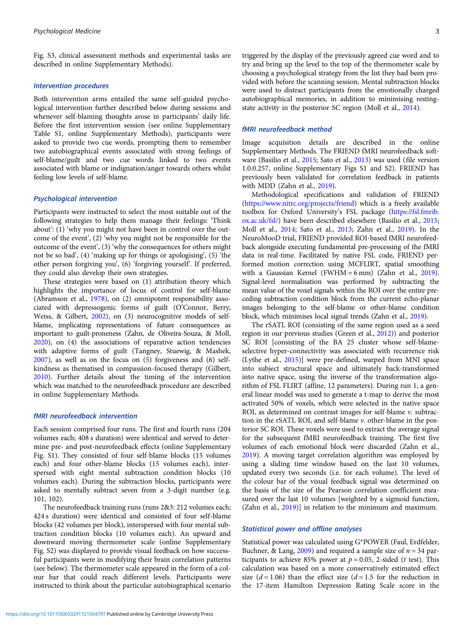Fig. S3, clinical assessment methods and experimental tasks are described in online Supplementary Methods).

#### Intervention procedures

Both intervention arms entailed the same self-guided psychological intervention further described below during sessions and whenever self-blaming thoughts arose in participants' daily life. Before the first intervention session (see online Supplementary Table S1, online Supplementary Methods), participants were asked to provide two cue words, prompting them to remember two autobiographical events associated with strong feelings of self-blame/guilt and two cue words linked to two events associated with blame or indignation/anger towards others whilst feeling low levels of self-blame.

# Psychological intervention

Participants were instructed to select the most suitable out of the following strategies to help them manage their feelings: 'Think about': (1) 'why you might not have been in control over the outcome of the event', (2) 'why you might not be responsible for the outcome of the event', (3) 'why the consequences for others might not be so bad', (4) 'making up for things or apologising', (5) 'the other person forgiving you', (6) 'forgiving yourself'. If preferred, they could also develop their own strategies.

These strategies were based on (1) attribution theory which highlights the importance of locus of control for self-blame (Abramson et al., [1978](#page-9-0)), on (2) omnipotent responsibility associated with depressogenic forms of guilt (O'Connor, Berry, Weiss, & Gilbert, [2002\)](#page-9-0), on (3) neurocognitive models of selfblame, implicating representations of future consequences as important to guilt-proneness (Zahn, de Oliveira-Souza, & Moll, [2020\)](#page-10-0), on (4) the associations of reparative action tendencies with adaptive forms of guilt (Tangney, Stuewig, & Mashek, [2007\)](#page-10-0), as well as on the focus on (5) forgiveness and (6) selfkindness as thematised in compassion-focused therapy (Gilbert, [2010\)](#page-9-0). Further details about the timing of the intervention which was matched to the neurofeedback procedure are described in online Supplementary Methods.

#### fMRI neurofeedback intervention

Each session comprised four runs. The first and fourth runs (204 volumes each; 408 s duration) were identical and served to determine pre- and post-neurofeedback effects (online Supplementary Fig. S1). They consisted of four self-blame blocks (15 volumes each) and four other-blame blocks (15 volumes each), interspersed with eight mental subtraction condition blocks (10 volumes each). During the subtraction blocks, participants were asked to mentally subtract seven from a 3-digit number (e.g. 101, 102).

The neurofeedback training runs (runs 2&3: 212 volumes each; 424 s duration) were identical and consisted of four self-blame blocks (42 volumes per block), interspersed with four mental subtraction condition blocks (10 volumes each). An upward and downward moving thermometer scale (online Supplementary Fig. S2) was displayed to provide visual feedback on how successful participants were in modifying their brain correlation patterns (see below). The thermometer scale appeared in the form of a colour bar that could reach different levels. Participants were instructed to think about the particular autobiographical scenario

triggered by the display of the previously agreed cue word and to try and bring up the level to the top of the thermometer scale by choosing a psychological strategy from the list they had been provided with before the scanning session. Mental subtraction blocks were used to distract participants from the emotionally charged autobiographical memories, in addition to minimising restingstate activity in the posterior SC region (Moll et al., [2014](#page-9-0)).

# fMRI neurofeedback method

Image acquisition details are described in the online Supplementary Methods. The FRIEND fMRI neurofeedback software (Basilio et al., [2015](#page-9-0); Sato et al., [2013](#page-10-0)) was used (file version 1.0.0.257, online Supplementary Figs S1 and S2). FRIEND has previously been validated for correlation feedback in patients with MDD (Zahn et al., [2019](#page-10-0)).

Methodological specifications and validation of FRIEND [\(https://www.nitrc.org/projects/friend](https://www.nitrc.org/projects/friend)) which is a freely available toolbox for Oxford University's FSL package [\(https://fsl.fmrib.](https://fsl.fmrib.ox.ac.uk/fsl/) [ox.ac.uk/fsl/\)](https://fsl.fmrib.ox.ac.uk/fsl/) have been described elsewhere (Basilio et al., [2015](#page-9-0); Moll et al., [2014](#page-9-0); Sato et al., [2013](#page-10-0); Zahn et al., [2019](#page-10-0)). In the NeuroMooD trial, FRIEND provided ROI-based fMRI neurofeedback alongside executing fundamental pre-processing of the fMRI data in real-time. Facilitated by native FSL code, FRIEND performed motion correction using MCFLIRT, spatial smoothing with a Gaussian Kernel (FWHM =  $6 \text{ mm}$ ) (Zahn et al., [2019](#page-10-0)). Signal-level normalisation was performed by subtracting the mean value of the voxel signals within the ROI over the entire preceding subtraction condition block from the current echo-planar images belonging to the self-blame or other-blame condition block, which minimises local signal trends (Zahn et al., [2019\)](#page-10-0).

The rSATL ROI (consisting of the same region used as a seed region in our previous studies (Green et al., [2012\)](#page-9-0)) and posterior SC ROI [consisting of the BA 25 cluster whose self-blameselective hyper-connectivity was associated with recurrence risk (Lythe et al., [2015\)](#page-9-0)] were pre-defined, warped from MNI space into subject structural space and ultimately back-transformed into native space, using the inverse of the transformation algorithm of FSL FLIRT (affine, 12 parameters). During run 1, a general linear model was used to generate a t-map to derive the most activated 50% of voxels, which were selected in the native space ROI, as determined on contrast images for self-blame v. subtraction in the rSATL ROI, and self-blame v. other-blame in the posterior SC ROI. These voxels were used to extract the average signal for the subsequent fMRI neurofeedback training. The first five volumes of each emotional block were discarded (Zahn et al., [2019](#page-10-0)). A moving target correlation algorithm was employed by using a sliding time window based on the last 10 volumes, updated every two seconds (i.e. for each volume). The level of the colour bar of the visual feedback signal was determined on the basis of the size of the Pearson correlation coefficient measured over the last 10 volumes [weighted by a sigmoid function, (Zahn et al., [2019\)](#page-10-0)] in relation to the minimum and maximum.

# Statistical power and offline analyses

Statistical power was calculated using G\*POWER (Faul, Erdfelder, Buchner, & Lang, [2009\)](#page-9-0) and required a sample size of  $n = 34$  participants to achieve 85% power at  $p = 0.05$ , 2-sided (*t* test). This calculation was based on a more conservatively estimated effect size  $(d = 1.06)$  than the effect size  $(d = 1.5$  for the reduction in the 17-item Hamilton Depression Rating Scale score in the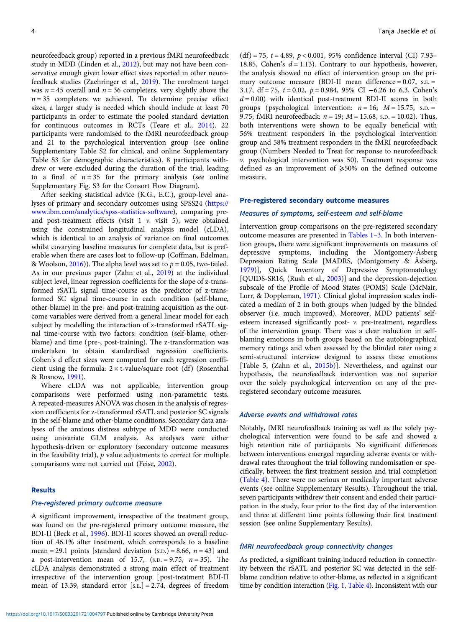neurofeedback group) reported in a previous fMRI neurofeedback study in MDD (Linden et al., [2012\)](#page-9-0), but may not have been conservative enough given lower effect sizes reported in other neurofeedback studies (Zaehringer et al., [2019](#page-10-0)). The enrolment target was  $n = 45$  overall and  $n = 36$  completers, very slightly above the  $n = 35$  completers we achieved. To determine precise effect sizes, a larger study is needed which should include at least 70 participants in order to estimate the pooled standard deviation for continuous outcomes in RCTs (Teare et al., [2014](#page-10-0)). 22 participants were randomised to the fMRI neurofeedback group and 21 to the psychological intervention group (see online Supplementary Table S2 for clinical, and online Supplementary Table S3 for demographic characteristics). 8 participants withdrew or were excluded during the duration of the trial, leading to a final of  $n = 35$  for the primary analysis (see online Supplementary Fig. S3 for the Consort Flow Diagram).

After seeking statistical advice (K.G., E.C.), group-level analyses of primary and secondary outcomes using SPSS24 ([https://](https://www.ibm.com/analytics/spss-statistics-software) [www.ibm.com/analytics/spss-statistics-software\)](https://www.ibm.com/analytics/spss-statistics-software), comparing preand post-treatment effects (visit  $1$   $\nu$ . visit  $5$ ), were obtained using the constrained longitudinal analysis model (cLDA), which is identical to an analysis of variance on final outcomes whilst covarying baseline measures for complete data, but is preferable when there are cases lost to follow-up (Coffman, Edelman, & Woolson,  $2016$ ). The alpha level was set to  $p = 0.05$ , two-tailed. As in our previous paper (Zahn et al., [2019](#page-10-0)) at the individual subject level, linear regression coefficients for the slope of z-transformed rSATL signal time-course as the predictor of z-transformed SC signal time-course in each condition (self-blame, other-blame) in the pre- and post-training acquisition as the outcome variables were derived from a general linear model for each subject by modelling the interaction of z-transformed rSATL signal time-course with two factors: condition (self-blame, otherblame) and time (pre-, post-training). The z-transformation was undertaken to obtain standardised regression coefficients. Cohen's d effect sizes were computed for each regression coefficient using the formula:  $2 \times$  t-value/square root (df) (Rosenthal & Rosnow, [1991\)](#page-10-0).

Where cLDA was not applicable, intervention group comparisons were performed using non-parametric tests. A repeated-measures ANOVA was chosen in the analysis of regression coefficients for z-transformed rSATL and posterior SC signals in the self-blame and other-blame conditions. Secondary data analyses of the anxious distress subtype of MDD were conducted using univariate GLM analysis. As analyses were either hypothesis-driven or exploratory (secondary outcome measures in the feasibility trial),  $p$  value adjustments to correct for multiple comparisons were not carried out (Feise, [2002](#page-9-0)).

#### **Results**

#### Pre-registered primary outcome measure

A significant improvement, irrespective of the treatment group, was found on the pre-registered primary outcome measure, the BDI-II (Beck et al., [1996\)](#page-9-0). BDI-II scores showed an overall reduction of 46.1% after treatment, which corresponds to a baseline mean = 29.1 points [standard deviation  $(s.D.) = 8.66$ ,  $n = 43$ ] and a post-intervention mean of 15.7,  $(s.D. = 9.75, n = 35)$ . The cLDA analysis demonstrated a strong main effect of treatment irrespective of the intervention group [post-treatment BDI-II mean of 13.39, standard error [S.E.] = 2.74, degrees of freedom

(df) = 75,  $t = 4.89$ ,  $p < 0.001$ , 95% confidence interval (CI) 7.93– 18.85, Cohen's  $d = 1.13$ ). Contrary to our hypothesis, however, the analysis showed no effect of intervention group on the primary outcome measure (BDI-II mean difference  $= 0.07$ , s.e.  $=$ 3.17, df = 75,  $t = 0.02$ ,  $p = 0.984$ , 95% CI -6.26 to 6.3, Cohen's  $d = 0.00$ ) with identical post-treatment BDI-II scores in both groups (psychological intervention:  $n = 16$ ;  $M = 15.75$ , s.p. = 9.75; fMRI neurofeedback:  $n = 19$ ;  $M = 15.68$ , s.p. = 10.02). Thus, both interventions were shown to be equally beneficial with 56% treatment responders in the psychological intervention group and 58% treatment responders in the fMRI neurofeedback group (Numbers Needed to Treat for response to neurofeedback v. psychological intervention was 50). Treatment response was defined as an improvement of  $\geqslant 50\%$  on the defined outcome measure.

#### Pre-registered secondary outcome measures

# Measures of symptoms, self-esteem and self-blame

Intervention group comparisons on the pre-registered secondary outcome measures are presented in Tables 1–3. In both intervention groups, there were significant improvements on measures of depressive symptoms, including the Montgomery-Åsberg Depression Rating Scale [MADRS, (Montgomery & Åsberg, [1979\)](#page-9-0)], Quick Inventory of Depressive Symptomatology [QUIDS-SR16, (Rush et al., [2003\)](#page-10-0)] and the depression-dejection subscale of the Profile of Mood States (POMS) Scale (McNair, Lorr, & Doppleman, [1971\)](#page-9-0). Clinical global impression scales indicated a median of 2 in both groups when judged by the blinded observer (i.e. much improved). Moreover, MDD patients' selfesteem increased significantly post- v. pre-treatment, regardless of the intervention group. There was a clear reduction in selfblaming emotions in both groups based on the autobiographical memory ratings and when assessed by the blinded rater using a semi-structured interview designed to assess these emotions [Table 5, (Zahn et al., [2015b\)](#page-10-0)]. Nevertheless, and against our hypothesis, the neurofeedback intervention was not superior over the solely psychological intervention on any of the preregistered secondary outcome measures.

#### Adverse events and withdrawal rates

Notably, fMRI neurofeedback training as well as the solely psychological intervention were found to be safe and showed a high retention rate of participants. No significant differences between interventions emerged regarding adverse events or withdrawal rates throughout the trial following randomisation or specifically, between the first treatment session and trial completion ([Table 4](#page-6-0)). There were no serious or medically important adverse events (see online Supplementary Results). Throughout the trial, seven participants withdrew their consent and ended their participation in the study, four prior to the first day of the intervention and three at different time points following their first treatment session (see online Supplementary Results).

# fMRI neurofeedback group connectivity changes

As predicted, a significant training-induced reduction in connectivity between the rSATL and posterior SC was detected in the selfblame condition relative to other-blame, as reflected in a significant time by condition interaction ([Fig. 1,](#page-7-0) [Table 4\)](#page-6-0). Inconsistent with our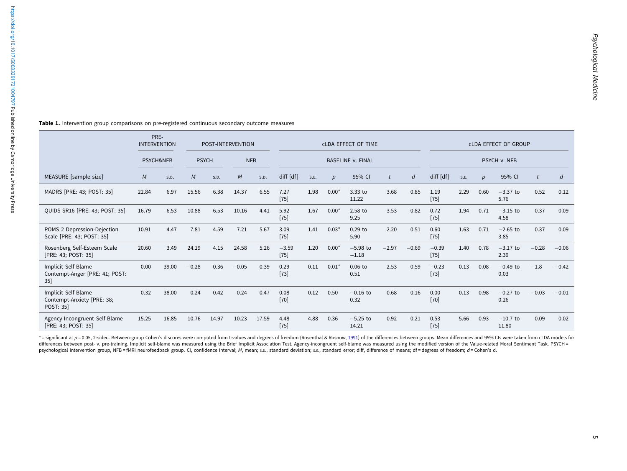|                                                                       | <b>INTERVENTION</b> | PRE-                 |              |       | POST-INTERVENTION |       | <b>CLDA EFFECT OF TIME</b> |                          |                  |                       |         |                  |                   | <b>CLDA EFFECT OF GROUP</b> |                  |                     |         |         |  |  |
|-----------------------------------------------------------------------|---------------------|----------------------|--------------|-------|-------------------|-------|----------------------------|--------------------------|------------------|-----------------------|---------|------------------|-------------------|-----------------------------|------------------|---------------------|---------|---------|--|--|
|                                                                       |                     | <b>PSYCH&amp;NFB</b> | <b>PSYCH</b> |       | <b>NFB</b>        |       |                            | <b>BASELINE v. FINAL</b> | PSYCH v. NFB     |                       |         |                  |                   |                             |                  |                     |         |         |  |  |
| MEASURE [sample size]                                                 | M                   | S.D.                 | M            | S.D.  | M                 | S.D.  | diff $[df]$                | S.E.                     | $\boldsymbol{p}$ | 95% CI                |         | $\boldsymbol{d}$ | diff [df]         | S.E.                        | $\boldsymbol{p}$ | 95% CI              |         | d       |  |  |
| MADRS [PRE: 43; POST: 35]                                             | 22.84               | 6.97                 | 15.56        | 6.38  | 14.37             | 6.55  | 7.27<br>$[75]$             | 1.98                     | $0.00*$          | $3.33$ to<br>11.22    | 3.68    | 0.85             | 1.19<br>$[75]$    | 2.29                        | 0.60             | $-3.37$ to<br>5.76  | 0.52    | 0.12    |  |  |
| QUIDS-SR16 [PRE: 43; POST: 35]                                        | 16.79               | 6.53                 | 10.88        | 6.53  | 10.16             | 4.41  | 5.92<br>$[75]$             | 1.67                     | $0.00*$          | 2.58 to<br>9.25       | 3.53    | 0.82             | 0.72<br>$[75]$    | 1.94                        | 0.71             | $-3.15$ to<br>4.58  | 0.37    | 0.09    |  |  |
| POMS 2 Depression-Dejection<br>Scale [PRE: 43; POST: 35]              | 10.91               | 4.47                 | 7.81         | 4.59  | 7.21              | 5.67  | 3.09<br>$[75]$             | 1.41                     | $0.03*$          | $0.29$ to<br>5.90     | 2.20    | 0.51             | 0.60<br>$[75]$    | 1.63                        | 0.71             | $-2.65$ to<br>3.85  | 0.37    | 0.09    |  |  |
| Rosenberg Self-Esteem Scale<br>[PRE: 43; POST: 35]                    | 20.60               | 3.49                 | 24.19        | 4.15  | 24.58             | 5.26  | $-3.59$<br>$[75]$          | 1.20                     | $0.00*$          | $-5.98$ to<br>$-1.18$ | $-2.97$ | $-0.69$          | $-0.39$<br>$[75]$ | 1.40                        | 0.78             | $-3.17$ to<br>2.39  | $-0.28$ | $-0.06$ |  |  |
| Implicit Self-Blame<br>Contempt-Anger [PRE: 41; POST:<br>$35$ ]       | 0.00                | 39.00                | $-0.28$      | 0.36  | $-0.05$           | 0.39  | 0.29<br>$[73]$             | 0.11                     | $0.01*$          | $0.06$ to<br>0.51     | 2.53    | 0.59             | $-0.23$<br>$[73]$ | 0.13                        | 0.08             | $-0.49$ to<br>0.03  | $-1.8$  | $-0.42$ |  |  |
| Implicit Self-Blame<br>Contempt-Anxiety [PRE: 38;<br><b>POST: 351</b> | 0.32                | 38.00                | 0.24         | 0.42  | 0.24              | 0.47  | 0.08<br>$[70]$             | 0.12                     | 0.50             | $-0.16$ to<br>0.32    | 0.68    | 0.16             | 0.00<br>$[70]$    | 0.13                        | 0.98             | $-0.27$ to<br>0.26  | $-0.03$ | $-0.01$ |  |  |
| Agency-Incongruent Self-Blame<br>[PRE: 43; POST: 35]                  | 15.25               | 16.85                | 10.76        | 14.97 | 10.23             | 17.59 | 4.48<br>$[75]$             | 4.88                     | 0.36             | $-5.25$ to<br>14.21   | 0.92    | 0.21             | 0.53<br>$[75]$    | 5.66                        | 0.93             | $-10.7$ to<br>11.80 | 0.09    | 0.02    |  |  |

Table 1. Intervention group comparisons on pre-registered continuous secondary outcome measures

\* = significant at p = 0.05, 2-sided. Between-group Cohen's d scores were computed from t-values and degrees of freedom (Rosenthal & Rosnow, [1991](#page-10-0)) of the differences between groups. Mean differences and 95% CIs were taken differences between post- v. pre-training. Implicit self-blame was measured using the Brief Implicit Association Test. Agency-incongruent self-blame was measured using the modified version of the Value-related Moral Sentim psychological intervention group, NFB = fMRI neurofeedback group. CI, confidence interval; M, mean; s.D., standard deviation; s.E., standard error; diff, difference of means; df = degrees of freedom; d = Cohen's d.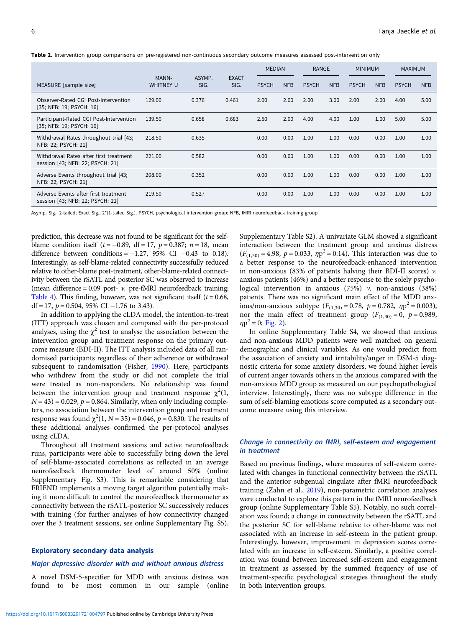Table 2. Intervention group comparisons on pre-registered non-continuous secondary outcome measures assessed post-intervention only

|                                                                            |                           |                |                      |              | <b>MEDIAN</b> |              | <b>RANGE</b> |              | <b>MINIMUM</b> |              | <b>MAXIMUM</b> |
|----------------------------------------------------------------------------|---------------------------|----------------|----------------------|--------------|---------------|--------------|--------------|--------------|----------------|--------------|----------------|
| MEASURE [sample size]                                                      | MANN-<br><b>WHITNEY U</b> | ASYMP.<br>SIG. | <b>EXACT</b><br>SIG. | <b>PSYCH</b> | <b>NFB</b>    | <b>PSYCH</b> | <b>NFB</b>   | <b>PSYCH</b> | <b>NFB</b>     | <b>PSYCH</b> | <b>NFB</b>     |
| Observer-Rated CGI Post-Intervention<br>[35; NFB: 19; PSYCH: 16]           | 129.00                    | 0.376          | 0.461                | 2.00         | 2.00          | 2.00         | 3.00         | 2.00         | 2.00           | 4.00         | 5.00           |
| Participant-Rated CGI Post-Intervention<br>[35; NFB: 19; PSYCH: 16]        | 139.50                    | 0.658          | 0.683                | 2.50         | 2.00          | 4.00         | 4.00         | 1.00         | 1.00           | 5.00         | 5.00           |
| Withdrawal Rates throughout trial [43;<br>NFB: 22; PSYCH: 21]              | 218.50                    | 0.635          |                      | 0.00         | 0.00          | 1.00         | 1.00         | 0.00         | 0.00           | 1.00         | 1.00           |
| Withdrawal Rates after first treatment<br>session [43; NFB: 22; PSYCH: 21] | 221.00                    | 0.582          |                      | 0.00         | 0.00          | 1.00         | 1.00         | 0.00         | 0.00           | 1.00         | 1.00           |
| Adverse Events throughout trial [43;<br>NFB: 22; PSYCH: 21]                | 208.00                    | 0.352          |                      | 0.00         | 0.00          | 1.00         | 1.00         | 0.00         | 0.00           | 1.00         | 1.00           |
| Adverse Events after first treatment<br>session [43; NFB: 22; PSYCH: 21]   | 219.50                    | 0.527          |                      | 0.00         | 0.00          | 1.00         | 1.00         | 0.00         | 0.00           | 1.00         | 1.00           |

Asymp. Sig., 2-tailed; Exact Sig., 2\*(1-tailed Sig.). PSYCH, psychological intervention group; NFB, fMRI neurofeedback training group.

prediction, this decrease was not found to be significant for the selfblame condition itself ( $t = -0.89$ , df = 17,  $p = 0.387$ ;  $n = 18$ , mean difference between conditions =  $-1.27$ , 95% CI  $-0.43$  to 0.18). Interestingly, as self-blame-related connectivity successfully reduced relative to other-blame post-treatment, other-blame-related connectivity between the rSATL and posterior SC was observed to increase (mean difference =  $0.09$  post-  $\nu$ . pre-fMRI neurofeedback training; [Table 4\)](#page-6-0). This finding, however, was not significant itself  $(t = 0.68,$ df = 17,  $p = 0.504$ , 95% CI -1.76 to 3.43).

In addition to applying the cLDA model, the intention-to-treat (ITT) approach was chosen and compared with the per-protocol analyses, using the  $\chi^2$  test to analyse the association between the intervention group and treatment response on the primary outcome measure (BDI-II). The ITT analysis included data of all randomised participants regardless of their adherence or withdrawal subsequent to randomisation (Fisher, [1990](#page-9-0)). Here, participants who withdrew from the study or did not complete the trial were treated as non-responders. No relationship was found between the intervention group and treatment response  $\chi^2(1)$ ,  $N = 43$ ) = 0.029,  $p = 0.864$ . Similarly, when only including completers, no association between the intervention group and treatment response was found  $\chi^2(1, N = 35) = 0.046$ ,  $p = 0.830$ . The results of these additional analyses confirmed the per-protocol analyses using cLDA.

Throughout all treatment sessions and active neurofeedback runs, participants were able to successfully bring down the level of self-blame-associated correlations as reflected in an average neurofeedback thermometer level of around 50% (online Supplementary Fig. S3). This is remarkable considering that FRIEND implements a moving target algorithm potentially making it more difficult to control the neurofeedback thermometer as connectivity between the rSATL-posterior SC successively reduces with training (for further analyses of how connectivity changed over the 3 treatment sessions, see online Supplementary Fig. S5).

#### Exploratory secondary data analysis

### Major depressive disorder with and without anxious distress

A novel DSM-5-specifier for MDD with anxious distress was found to be most common in our sample (online Supplementary Table S2). A univariate GLM showed a significant interaction between the treatment group and anxious distress  $(F_{(1,30)} = 4.98, p = 0.033, \eta p^2 = 0.14)$ . This interaction was due to a better response to the neurofeedback-enhanced intervention in non-anxious (83% of patients halving their BDI-II scores)  $v$ . anxious patients (46%) and a better response to the solely psychological intervention in anxious (75%) v. non-anxious (38%) patients. There was no significant main effect of the MDD anxious/non-anxious subtype  $(F_{(1,30)} = 0.78, p = 0.782, \eta p^2 = 0.003)$ , nor the main effect of treatment group  $(F_{(1,30)} = 0, p = 0.989,$  $\eta p^2 = 0$ ; [Fig. 2](#page-7-0)).

In online Supplementary Table S4, we showed that anxious and non-anxious MDD patients were well matched on general demographic and clinical variables. As one would predict from the association of anxiety and irritability/anger in DSM-5 diagnostic criteria for some anxiety disorders, we found higher levels of current anger towards others in the anxious compared with the non-anxious MDD group as measured on our psychopathological interview. Interestingly, there was no subtype difference in the sum of self-blaming emotions score computed as a secondary outcome measure using this interview.

# Change in connectivity on fMRI, self-esteem and engagement in treatment

Based on previous findings, where measures of self-esteem correlated with changes in functional connectivity between the rSATL and the anterior subgenual cingulate after fMRI neurofeedback training (Zahn et al., [2019\)](#page-10-0), non-parametric correlation analyses were conducted to explore this pattern in the fMRI neurofeedback group (online Supplementary Table S5). Notably, no such correlation was found; a change in connectivity between the rSATL and the posterior SC for self-blame relative to other-blame was not associated with an increase in self-esteem in the patient group. Interestingly, however, improvement in depression scores correlated with an increase in self-esteem. Similarly, a positive correlation was found between increased self-esteem and engagement in treatment as assessed by the summed frequency of use of treatment-specific psychological strategies throughout the study in both intervention groups.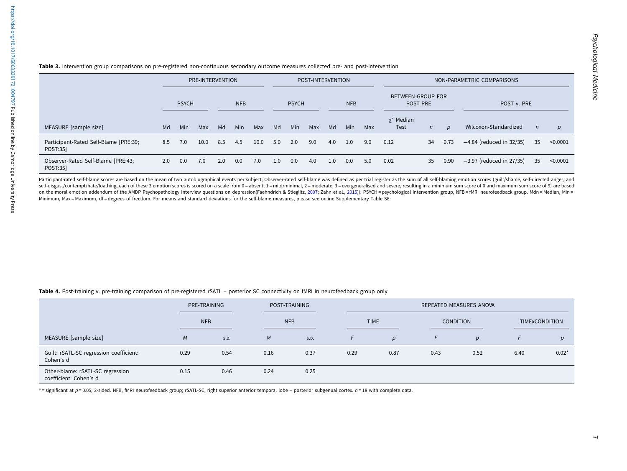<span id="page-6-0"></span>

| Table 3. Intervention group comparisons on pre-registered non-continuous secondary outcome measures collected pre- and post-interventior |  |  |  |  |  |
|------------------------------------------------------------------------------------------------------------------------------------------|--|--|--|--|--|
|                                                                                                                                          |  |  |  |  |  |

|                                                   | PRE-INTERVENTION |              |      |     |            | POST-INTERVENTION |     |              |     |            |            | NON-PARAMETRIC COMPARISONS           |                         |              |                  |                            |            |          |
|---------------------------------------------------|------------------|--------------|------|-----|------------|-------------------|-----|--------------|-----|------------|------------|--------------------------------------|-------------------------|--------------|------------------|----------------------------|------------|----------|
|                                                   |                  | <b>PSYCH</b> |      |     | <b>NFB</b> |                   |     | <b>PSYCH</b> |     | <b>NFB</b> |            | <b>BETWEEN-GROUP FOR</b><br>POST-PRE |                         |              | POST v. PRE      |                            |            |          |
| MEASURE [sample size]                             | Md               | Min          | Max  | Md  | <b>Min</b> | Max               | Md  | Min          | Max | Md         | <b>Min</b> | Max                                  | $\chi^2$ Median<br>Test | $\mathsf{n}$ | $\boldsymbol{p}$ | Wilcoxon-Standardized      | $\sqrt{n}$ | p        |
| Participant-Rated Self-Blame [PRE:39;<br>POST:35] | 8.5              | 7.0          | 10.0 | 8.5 | 4.5        | 10.0              | 5.0 | 2.0          | 9.0 | 4.0        | 1.0        | 9.0                                  | 0.12                    | 34           | 0.73             | $-4.84$ (reduced in 32/35) | 35         | < 0.0001 |
| Observer-Rated Self-Blame [PRE:43;<br>POST:35]    | 2.0              | 0.0          | 7.0  | 2.0 | 0.0        | 7.0               | 1.0 | 0.0          | 4.0 | 1.0        | 0.0        | 5.0                                  | 0.02                    | 35           | 0.90             | $-3.97$ (reduced in 27/35) | 35         | < 0.0001 |

Participant-rated self-blame scores are based on the mean of two autobiographical events per subject; Observer-rated self-blame was defined as per trial register as the sum of all self-blaming emotion scores (guilt/shame, self-disgust/contempt/hate/loathing, each of these 3 emotion scores is scored on a scale from 0 = absent, 1 = mild/minimal, 2 = moderate, 3 = overgeneralised and severe, resulting in a minimum sum score of 0 and maximum su on the moral emotion addendum of the AMDP Psychopathology Interview questions on depression(Faehndrich & Stieglitz, [2007](#page-9-0); Zahn et al., [2015](#page-10-0))). PSYCH = psychological intervention group, NFB = fMRI neurofeedback group. Mdn = Minimum, Max <sup>=</sup> Maximum, df <sup>=</sup> degrees of freedom. For means and standard deviations for the self-blame measures, please see online Supplementary Table S6.

#### Table 4. Post-training v. pre-training comparison of pre-registered rSATL – posterior SC connectivity on fMRI in neurofeedback group only

|                                                            | PRE-TRAINING |            |            | POST-TRAINING |      | REPEATED MEASURES ANOVA |      |                  |      |                |  |  |  |
|------------------------------------------------------------|--------------|------------|------------|---------------|------|-------------------------|------|------------------|------|----------------|--|--|--|
|                                                            |              | <b>NFB</b> | <b>NFB</b> |               |      | <b>TIME</b>             |      | <b>CONDITION</b> |      | TIMExCONDITION |  |  |  |
| MEASURE [sample size]                                      | M            | S.D.       | M          | S.D.          |      | $\boldsymbol{p}$        | F    | p                |      |                |  |  |  |
| Guilt: rSATL-SC regression coefficient:<br>Cohen's d       | 0.29         | 0.54       | 0.16       | 0.37          | 0.29 | 0.87                    | 0.43 | 0.52             | 6.40 | $0.02*$        |  |  |  |
| Other-blame: rSATL-SC regression<br>coefficient: Cohen's d | 0.15         | 0.46       | 0.24       | 0.25          |      |                         |      |                  |      |                |  |  |  |

 $*$  = significant at  $p$  = 0.05, 2-sided. NFB, fMRI neurofeedback group; rSATL-SC, right superior anterior temporal lobe – posterior subgenual cortex.  $n = 18$  with complete data.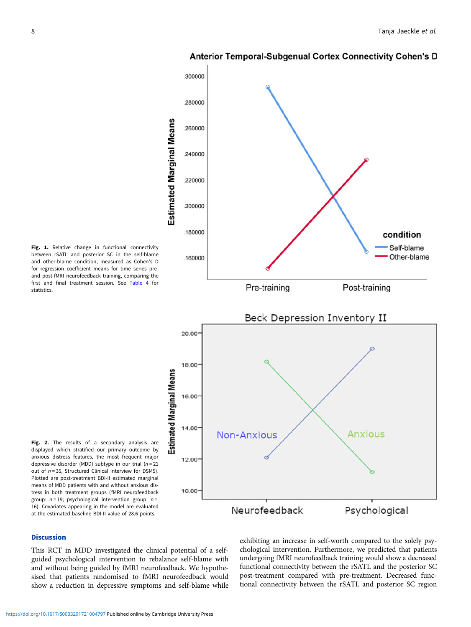

<span id="page-7-0"></span>

Fig. 1. Relative change in functional connectivity between rSATL and posterior SC in the self-blame and other-blame condition, measured as Cohen's D for regression coefficient means for time series preand post-fMRI neurofeedback training, comparing the first and final treatment session. See [Table 4](#page-6-0) for statistics.



Fig. 2. The results of a secondary analysis are displayed which stratified our primary outcome by anxious distress features, the most frequent major depressive disorder (MDD) subtype in our trial  $(n = 21)$ out of  $n = 35$ , Structured Clinical Interview for DSM5). Plotted are post-treatment BDI-II estimated marginal means of MDD patients with and without anxious distress in both treatment groups (fMRI neurofeedback group:  $n = 19$ ; psychological intervention group:  $n =$ 16). Covariates appearing in the model are evaluated at the estimated baseline BDI-II value of 28.6 points.

# **Discussion**

This RCT in MDD investigated the clinical potential of a selfguided psychological intervention to rebalance self-blame with and without being guided by fMRI neurofeedback. We hypothesised that patients randomised to fMRI neurofeedback would show a reduction in depressive symptoms and self-blame while exhibiting an increase in self-worth compared to the solely psychological intervention. Furthermore, we predicted that patients undergoing fMRI neurofeedback training would show a decreased functional connectivity between the rSATL and the posterior SC post-treatment compared with pre-treatment. Decreased functional connectivity between the rSATL and posterior SC region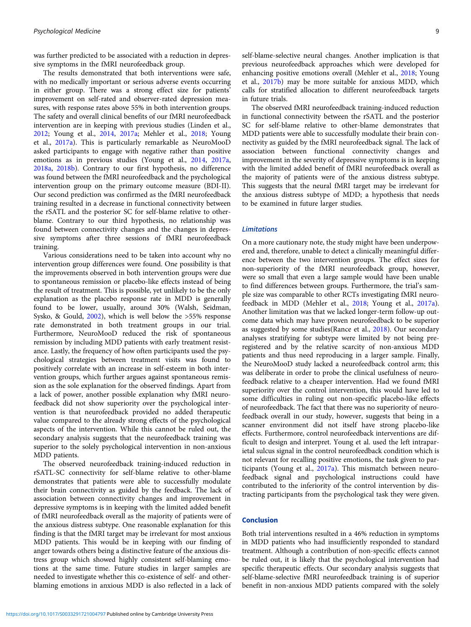was further predicted to be associated with a reduction in depressive symptoms in the fMRI neurofeedback group.

The results demonstrated that both interventions were safe, with no medically important or serious adverse events occurring in either group. There was a strong effect size for patients' improvement on self-rated and observer-rated depression measures, with response rates above 55% in both intervention groups. The safety and overall clinical benefits of our fMRI neurofeedback intervention are in keeping with previous studies (Linden et al., [2012;](#page-9-0) Young et al., [2014](#page-10-0), [2017a](#page-10-0); Mehler et al., [2018;](#page-9-0) Young et al., [2017a](#page-10-0)). This is particularly remarkable as NeuroMooD asked participants to engage with negative rather than positive emotions as in previous studies (Young et al., [2014,](#page-10-0) [2017a,](#page-10-0) [2018a,](#page-10-0) [2018b\)](#page-10-0). Contrary to our first hypothesis, no difference was found between the fMRI neurofeedback and the psychological intervention group on the primary outcome measure (BDI-II). Our second prediction was confirmed as the fMRI neurofeedback training resulted in a decrease in functional connectivity between the rSATL and the posterior SC for self-blame relative to otherblame. Contrary to our third hypothesis, no relationship was found between connectivity changes and the changes in depressive symptoms after three sessions of fMRI neurofeedback training.

Various considerations need to be taken into account why no intervention group differences were found. One possibility is that the improvements observed in both intervention groups were due to spontaneous remission or placebo-like effects instead of being the result of treatment. This is possible, yet unlikely to be the only explanation as the placebo response rate in MDD is generally found to be lower, usually, around 30% (Walsh, Seidman, Sysko, & Gould, [2002](#page-10-0)), which is well below the >55% response rate demonstrated in both treatment groups in our trial. Furthermore, NeuroMooD reduced the risk of spontaneous remission by including MDD patients with early treatment resistance. Lastly, the frequency of how often participants used the psychological strategies between treatment visits was found to positively correlate with an increase in self-esteem in both intervention groups, which further argues against spontaneous remission as the sole explanation for the observed findings. Apart from a lack of power, another possible explanation why fMRI neurofeedback did not show superiority over the psychological intervention is that neurofeedback provided no added therapeutic value compared to the already strong effects of the psychological aspects of the intervention. While this cannot be ruled out, the secondary analysis suggests that the neurofeedback training was superior to the solely psychological intervention in non-anxious MDD patients.

The observed neurofeedback training-induced reduction in rSATL-SC connectivity for self-blame relative to other-blame demonstrates that patients were able to successfully modulate their brain connectivity as guided by the feedback. The lack of association between connectivity changes and improvement in depressive symptoms is in keeping with the limited added benefit of fMRI neurofeedback overall as the majority of patients were of the anxious distress subtype. One reasonable explanation for this finding is that the fMRI target may be irrelevant for most anxious MDD patients. This would be in keeping with our finding of anger towards others being a distinctive feature of the anxious distress group which showed highly consistent self-blaming emotions at the same time. Future studies in larger samples are needed to investigate whether this co-existence of self- and otherblaming emotions in anxious MDD is also reflected in a lack of self-blame-selective neural changes. Another implication is that previous neurofeedback approaches which were developed for enhancing positive emotions overall (Mehler et al., [2018](#page-9-0); Young et al., [2017b\)](#page-10-0) may be more suitable for anxious MDD, which calls for stratified allocation to different neurofeedback targets in future trials.

The observed fMRI neurofeedback training-induced reduction in functional connectivity between the rSATL and the posterior SC for self-blame relative to other-blame demonstrates that MDD patients were able to successfully modulate their brain connectivity as guided by the fMRI neurofeedback signal. The lack of association between functional connectivity changes and improvement in the severity of depressive symptoms is in keeping with the limited added benefit of fMRI neurofeedback overall as the majority of patients were of the anxious distress subtype. This suggests that the neural fMRI target may be irrelevant for the anxious distress subtype of MDD; a hypothesis that needs to be examined in future larger studies.

#### Limitations

On a more cautionary note, the study might have been underpowered and, therefore, unable to detect a clinically meaningful difference between the two intervention groups. The effect sizes for non-superiority of the fMRI neurofeedback group, however, were so small that even a large sample would have been unable to find differences between groups. Furthermore, the trial's sample size was comparable to other RCTs investigating fMRI neurofeedback in MDD (Mehler et al., [2018](#page-9-0); Young et al., [2017a](#page-10-0)). Another limitation was that we lacked longer-term follow-up outcome data which may have proven neurofeedback to be superior as suggested by some studies(Rance et al., [2018\)](#page-10-0). Our secondary analyses stratifying for subtype were limited by not being preregistered and by the relative scarcity of non-anxious MDD patients and thus need reproducing in a larger sample. Finally, the NeuroMooD study lacked a neurofeedback control arm; this was deliberate in order to probe the clinical usefulness of neurofeedback relative to a cheaper intervention. Had we found fMRI superiority over the control intervention, this would have led to some difficulties in ruling out non-specific placebo-like effects of neurofeedback. The fact that there was no superiority of neurofeedback overall in our study, however, suggests that being in a scanner environment did not itself have strong placebo-like effects. Furthermore, control neurofeedback interventions are difficult to design and interpret. Young et al. used the left intraparietal sulcus signal in the control neurofeedback condition which is not relevant for recalling positive emotions, the task given to participants (Young et al., [2017a](#page-10-0)). This mismatch between neurofeedback signal and psychological instructions could have contributed to the inferiority of the control intervention by distracting participants from the psychological task they were given.

### Conclusion

Both trial interventions resulted in a 46% reduction in symptoms in MDD patients who had insufficiently responded to standard treatment. Although a contribution of non-specific effects cannot be ruled out, it is likely that the psychological intervention had specific therapeutic effects. Our secondary analysis suggests that self-blame-selective fMRI neurofeedback training is of superior benefit in non-anxious MDD patients compared with the solely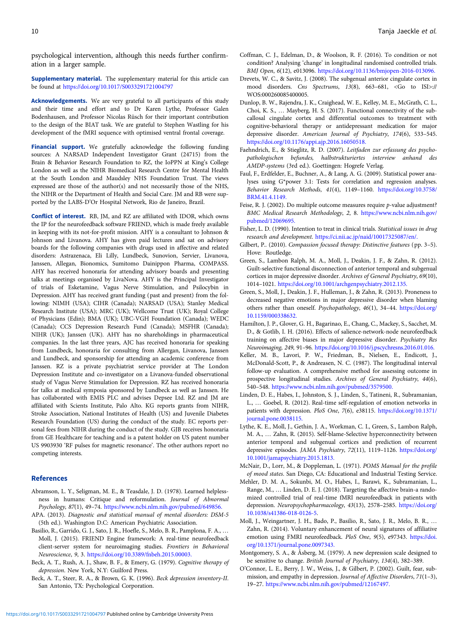<span id="page-9-0"></span>psychological intervention, although this needs further confirmation in a larger sample.

Supplementary material. The supplementary material for this article can be found at <https://doi.org/10.1017/S0033291721004797>

Acknowledgements. We are very grateful to all participants of this study and their time and effort and to Dr Karen Lythe, Professor Galen Bodenhausen, and Professor Nicolas Rüsch for their important contribution to the design of the BIAT task. We are grateful to Stephen Wastling for his development of the fMRI sequence with optimised ventral frontal coverage.

Financial support. We gratefully acknowledge the following funding sources: A NARSAD Independent Investigator Grant (24715) from the Brain & Behavior Research Foundation to RZ, the IoPPN at King's College London as well as the NIHR Biomedical Research Centre for Mental Health at the South London and Maudsley NHS Foundation Trust. The views expressed are those of the author(s) and not necessarily those of the NHS, the NIHR or the Department of Health and Social Care. JM and RB were supported by the LABS-D'Or Hospital Network, Rio de Janeiro, Brazil.

Conflict of interest. RB, JM, and RZ are affiliated with IDOR, which owns the IP for the neurofeedback software FRIEND, which is made freely available in keeping with its not-for-profit mission. AHY is a consultant to Johnson & Johnson and Livanova. AHY has given paid lectures and sat on advisory boards for the following companies with drugs used in affective and related disorders: Astrazenaca, Eli Lilly, Lundbeck, Sunovion, Servier, Livanova, Janssen, Allegan, Bionomics, Sumitomo Dainippon Pharma, COMPASS. AHY has received honoraria for attending advisory boards and presenting talks at meetings organised by LivaNova. AHY is the Principal Investigator of trials of Esketamine, Vagus Nerve Stimulation, and Psilocybin in Depression. AHY has received grant funding (past and present) from the following: NIMH (USA); CIHR (Canada); NARSAD (USA); Stanley Medical Research Institute (USA); MRC (UK); Wellcome Trust (UK); Royal College of Physicians (Edin); BMA (UK); UBC-VGH Foundation (Canada); WEDC (Canada); CCS Depression Research Fund (Canada); MSFHR (Canada); NIHR (UK); Janssen (UK). AHY has no shareholdings in pharmaceutical companies. In the last three years, AJC has received honoraria for speaking from Lundbeck, honoraria for consulting from Allergan, Livanova, Janssen and Lundbeck, and sponsorship for attending an academic conference from Janssen. RZ is a private psychiatrist service provider at The London Depression Institute and co-investigator on a Livanova-funded observational study of Vagus Nerve Stimulation for Depression. RZ has received honoraria for talks at medical symposia sponsored by Lundbeck as well as Janssen. He has collaborated with EMIS PLC and advises Depsee Ltd. RZ and JM are affiliated with Scients Institute, Palo Alto. KG reports grants from NIHR, Stroke Association, National Institutes of Health (US) and Juvenile Diabetes Research Foundation (US) during the conduct of the study. EC reports personal fees from NIHR during the conduct of the study. GJB receives honoraria from GE Healthcare for teaching and is a patent holder on US patent number US 9903930 'RF pulses for magnetic resonance'. The other authors report no competing interests.

# References

- Abramson, L. Y., Seligman, M. E., & Teasdale, J. D. (1978). Learned helplessness in humans: Critique and reformulation. Journal of Abnormal Psychology, 87(1), 49–74. <https://www.ncbi.nlm.nih.gov/pubmed/649856.>
- APA. (2013). Diagnostic and statistical manual of mental disorders: DSM-5 (5th ed.). Washington D.C: American Psychiatric Association.
- Basilio, R., Garrido, G. J., Sato, J. R., Hoefle, S., Melo, B. R., Pamplona, F. A., … Moll, J. (2015). FRIEND Engine framework: A real-time neurofeedback client-server system for neuroimaging studies. Frontiers in Behavioral Neuroscience, 9, 3. <https://doi.org/10.3389/fnbeh.2015.00003.>
- Beck, A. T., Rush, A. J., Shaw, B. F., & Emery, G. (1979). Cognitive therapy of depression. New York, N.Y: Guilford Press.
- Beck, A. T., Steer, R. A., & Brown, G. K. (1996). Beck depression inventory-II. San Antonio, TX: Psychological Corporation.
- Coffman, C. J., Edelman, D., & Woolson, R. F. (2016). To condition or not condition? Analysing 'change' in longitudinal randomised controlled trials. BMJ Open, 6(12), e013096. <https://doi.org/10.1136/bmjopen-2016-013096.>
- Drevets, W. C., & Savitz, J. (2008). The subgenual anterior cingulate cortex in mood disorders. Cns Spectrums, 13(8), 663–681, <Go to ISI>:// WOS:000260085400005.
- Dunlop, B. W., Rajendra, J. K., Craighead, W. E., Kelley, M. E., McGrath, C. L., Choi, K. S., … Mayberg, H. S. (2017). Functional connectivity of the subcallosal cingulate cortex and differential outcomes to treatment with cognitive-behavioral therapy or antidepressant medication for major depressive disorder. American Journal of Psychiatry, 174(6), 533–545. <https://doi.org/10.1176/appi.ajp.2016.16050518.>
- Faehndrich, E., & Stieglitz, R. D. (2007). Leitfaden zur erfassung des psychopathologischen befundes, halbstrukturiertes interview anhand des AMDP-systems (3rd ed.). Goettingen: Hogrefe Verlag.
- Faul, F., Erdfelder, E., Buchner, A., & Lang, A. G. (2009). Statistical power analyses using G\*power 3.1: Tests for correlation and regression analyses. Behavior Research Methods, 41(4), 1149–1160. [https://doi.org/10.3758/](https://doi.org/10.3758/BRM.41.4.1149.) [BRM.41.4.1149.](https://doi.org/10.3758/BRM.41.4.1149.)
- Feise, R. J. (2002). Do multiple outcome measures require p-value adjustment? BMC Medical Research Methodology, 2, 8. [https://www.ncbi.nlm.nih.gov/](https://www.ncbi.nlm.nih.gov/pubmed/12069695.) [pubmed/12069695.](https://www.ncbi.nlm.nih.gov/pubmed/12069695.)
- Fisher, L. D. (1990). Intention to treat in clinical trials. Statistical issues in drug research and development. <https://ci.nii.ac.jp/naid/10017325087/en/.>
- Gilbert, P.. (2010). Compassion focused therapy: Distinctive features (pp. 3–5). Hove: Routledge.
- Green, S., Lambon Ralph, M. A., Moll, J., Deakin, J. F., & Zahn, R. (2012). Guilt-selective functional disconnection of anterior temporal and subgenual cortices in major depressive disorder. Archives of General Psychiatry, 69(10), 1014–1021. <https://doi.org/10.1001/archgenpsychiatry.2012.135.>
- Green, S., Moll, J., Deakin, J. F., Hulleman, J., & Zahn, R. (2013). Proneness to decreased negative emotions in major depressive disorder when blaming others rather than oneself. Psychopathology, 46(1), 34–44. [https://doi.org/](https://doi.org/10.1159/000338632.) [10.1159/000338632.](https://doi.org/10.1159/000338632.)
- Hamilton, J. P., Glover, G. H., Bagarinao, E., Chang, C., Mackey, S., Sacchet, M. D., & Gotlib, I. H. (2016). Effects of salience-network-node neurofeedback training on affective biases in major depressive disorder. Psychiatry Res Neuroimaging, 249, 91–96. <https://doi.org/10.1016/j.pscychresns.2016.01.016.>
- Keller, M. B., Lavori, P. W., Friedman, B., Nielsen, E., Endicott, J., McDonald-Scott, P., & Andreasen, N. C. (1987). The longitudinal interval follow-up evaluation. A comprehensive method for assessing outcome in prospective longitudinal studies. Archives of General Psychiatry, 44(6), 540–548. <https://www.ncbi.nlm.nih.gov/pubmed/3579500.>
- Linden, D. E., Habes, I., Johnston, S. J., Linden, S., Tatineni, R., Subramanian, L., … Goebel, R. (2012). Real-time self-regulation of emotion networks in patients with depression. PloS One, 7(6), e38115. [https://doi.org/10.1371/](https://doi.org/10.1371/journal.pone.0038115.) [journal.pone.0038115.](https://doi.org/10.1371/journal.pone.0038115.)
- Lythe, K. E., Moll, J., Gethin, J. A., Workman, C. I., Green, S., Lambon Ralph, M. A., … Zahn, R. (2015). Self-blame-Selective hyperconnectivity between anterior temporal and subgenual cortices and prediction of recurrent depressive episodes. JAMA Psychiatry, 72(11), 1119–1126. [https://doi.org/](https://doi.org/10.1001/jamapsychiatry.2015.1813.) [10.1001/jamapsychiatry.2015.1813.](https://doi.org/10.1001/jamapsychiatry.2015.1813.)
- McNair, D., Lorr, M., & Doppleman, L. (1971). POMS Manual for the profile of mood states. San Diego, CA: Educational and Industrial Testing Service.
- Mehler, D. M. A., Sokunbi, M. O., Habes, I., Barawi, K., Subramanian, L., Range, M., … Linden, D. E. J. (2018). Targeting the affective brain-a randomized controlled trial of real-time fMRI neurofeedback in patients with depression. Neuropsychopharmacology, 43(13), 2578–2585. [https://doi.org/](https://doi.org/10.1038/s41386-018-0126-5) [10.1038/s41386-018-0126-5.](https://doi.org/10.1038/s41386-018-0126-5)
- Moll, J., Weingartner, J. H., Bado, P., Basilio, R., Sato, J. R., Melo, B. R., … Zahn, R. (2014). Voluntary enhancement of neural signatures of affiliative emotion using FMRI neurofeedback. PloS One, 9(5), e97343. [https://doi.](https://doi.org/10.1371/journal.pone.0097343.) [org/10.1371/journal.pone.0097343.](https://doi.org/10.1371/journal.pone.0097343.)
- Montgomery, S. A., & Åsberg, M. (1979). A new depression scale designed to be sensitive to change. British Journal of Psychiatry, 134(4), 382–389.
- O'Connor, L. E., Berry, J. W., Weiss, J., & Gilbert, P. (2002). Guilt, fear, submission, and empathy in depression. Journal of Affective Disorders, 71(1–3), 19–27. <https://www.ncbi.nlm.nih.gov/pubmed/12167497.>